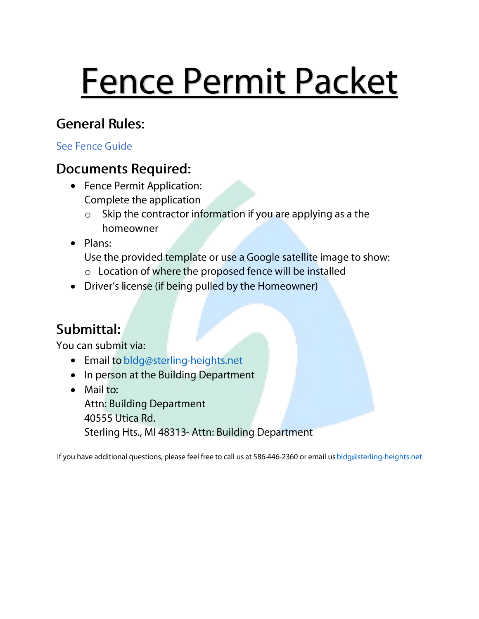# Fence Permit Packet

### **General Rules:**

See Fence Guide

## **Documents Required:**

- Fence Permit Application: Complete the application
	- Skip the contractor information if you are applying as a the  $\circ$ homeowner
- · Plans:

Use the provided template or use a Google satellite image to show:

- o Location of where the proposed fence will be installed
- Driver's license (if being pulled by the Homeowner)

## Submittal:

You can submit via:

- Email to bldg@sterling-heights.net
- In person at the Building Department
- Mail to: Attn: Building Department 40555 Utica Rd. Sterling Hts., MI 48313- Attn: Building Department

If you have additional questions, please feel free to call us at 586-446-2360 or email us bldg@sterling-heights.net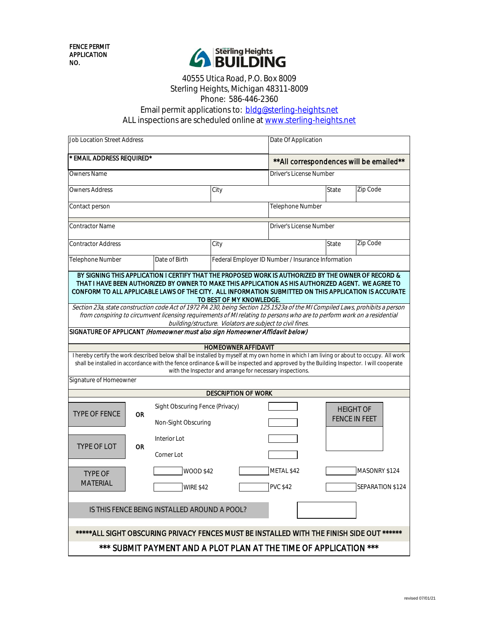

#### 40555 Utica Road, P.O. Box 8009 Sterling Heights, Michigan 48311-8009 Email permit applications to: bldg@sterling-heights.net [ALL inspections are scheduled online at](http://www.sterling-heights.net/) www.sterling-heights.net Phone: 586-446-2360

| <b>Job Location Street Address</b>                                                                                                                                                                                                                                                                                                                                                                                                                                                                                                                                                                                                                                                                                                                                                                                                                                                                                                                                                                                             |           |                                                        |                                                    |  | Date Of Application                      |       |                                   |  |
|--------------------------------------------------------------------------------------------------------------------------------------------------------------------------------------------------------------------------------------------------------------------------------------------------------------------------------------------------------------------------------------------------------------------------------------------------------------------------------------------------------------------------------------------------------------------------------------------------------------------------------------------------------------------------------------------------------------------------------------------------------------------------------------------------------------------------------------------------------------------------------------------------------------------------------------------------------------------------------------------------------------------------------|-----------|--------------------------------------------------------|----------------------------------------------------|--|------------------------------------------|-------|-----------------------------------|--|
| * EMAIL ADDRESS REQUIRED*                                                                                                                                                                                                                                                                                                                                                                                                                                                                                                                                                                                                                                                                                                                                                                                                                                                                                                                                                                                                      |           |                                                        |                                                    |  | ** All correspondences will be emailed** |       |                                   |  |
| <b>Owners Name</b>                                                                                                                                                                                                                                                                                                                                                                                                                                                                                                                                                                                                                                                                                                                                                                                                                                                                                                                                                                                                             |           |                                                        |                                                    |  | <b>Driver's License Number</b>           |       |                                   |  |
| <b>Owners Address</b>                                                                                                                                                                                                                                                                                                                                                                                                                                                                                                                                                                                                                                                                                                                                                                                                                                                                                                                                                                                                          |           |                                                        | City                                               |  |                                          | State | Zip Code                          |  |
| Contact person                                                                                                                                                                                                                                                                                                                                                                                                                                                                                                                                                                                                                                                                                                                                                                                                                                                                                                                                                                                                                 |           |                                                        |                                                    |  | Telephone Number                         |       |                                   |  |
| <b>Contractor Name</b>                                                                                                                                                                                                                                                                                                                                                                                                                                                                                                                                                                                                                                                                                                                                                                                                                                                                                                                                                                                                         |           |                                                        | Driver's License Number                            |  |                                          |       |                                   |  |
| <b>Contractor Address</b>                                                                                                                                                                                                                                                                                                                                                                                                                                                                                                                                                                                                                                                                                                                                                                                                                                                                                                                                                                                                      |           |                                                        | City                                               |  |                                          | State | Zip Code                          |  |
| Telephone Number<br>Date of Birth                                                                                                                                                                                                                                                                                                                                                                                                                                                                                                                                                                                                                                                                                                                                                                                                                                                                                                                                                                                              |           |                                                        | Federal Employer ID Number / Insurance Information |  |                                          |       |                                   |  |
| THAT I HAVE BEEN AUTHORIZED BY OWNER TO MAKE THIS APPLICATION AS HIS AUTHORIZED AGENT. WE AGREE TO<br>CONFORM TO ALL APPLICABLE LAWS OF THE CITY. ALL INFORMATION SUBMITTED ON THIS APPLICATION IS ACCURATE<br>TO BEST OF MY KNOWLEDGE.<br>Section 23a, state construction code Act of 1972 PA 230, being Section 125.1523a of the MI Compiled Laws, prohibits a person<br>from conspiring to circumvent licensing requirements of MI relating to persons who are to perform work on a residential<br>building/structure. Violators are subject to civil fines.<br>SIGNATURE OF APPLICANT (Homeowner must also sign Homeowner Affidavit below)<br><b>HOMEOWNER AFFIDAVIT</b><br>I hereby certify the work described below shall be installed by myself at my own home in which I am living or about to occupy. All work<br>shall be installed in accordance with the fence ordinance & will be inspected and approved by the Building Inspector. I will cooperate<br>with the Inspector and arrange for necessary inspections. |           |                                                        |                                                    |  |                                          |       |                                   |  |
| Signature of Homeowner                                                                                                                                                                                                                                                                                                                                                                                                                                                                                                                                                                                                                                                                                                                                                                                                                                                                                                                                                                                                         |           |                                                        |                                                    |  |                                          |       |                                   |  |
| <b>DESCRIPTION OF WORK</b>                                                                                                                                                                                                                                                                                                                                                                                                                                                                                                                                                                                                                                                                                                                                                                                                                                                                                                                                                                                                     |           |                                                        |                                                    |  |                                          |       |                                   |  |
| <b>TYPE OF FENCE</b>                                                                                                                                                                                                                                                                                                                                                                                                                                                                                                                                                                                                                                                                                                                                                                                                                                                                                                                                                                                                           | <b>OR</b> | Sight Obscuring Fence (Privacy)<br>Non-Sight Obscuring |                                                    |  |                                          |       | <b>HEIGHT OF</b><br>FENCE IN FEET |  |
| TYPE OF LOT                                                                                                                                                                                                                                                                                                                                                                                                                                                                                                                                                                                                                                                                                                                                                                                                                                                                                                                                                                                                                    | <b>OR</b> | Interior Lot<br>Corner Lot                             |                                                    |  |                                          |       |                                   |  |
| <b>TYPE OF</b><br><b>MATERIAL</b>                                                                                                                                                                                                                                                                                                                                                                                                                                                                                                                                                                                                                                                                                                                                                                                                                                                                                                                                                                                              |           | <b>WOOD \$42</b><br><b>WIRE \$42</b>                   |                                                    |  | METAL \$42<br><b>PVC \$42</b>            |       | MASONRY \$124<br>SEPARATION \$124 |  |
| IS THIS FENCE BEING INSTALLED AROUND A POOL?                                                                                                                                                                                                                                                                                                                                                                                                                                                                                                                                                                                                                                                                                                                                                                                                                                                                                                                                                                                   |           |                                                        |                                                    |  |                                          |       |                                   |  |
| *****ALL SIGHT OBSCURING PRIVACY FENCES MUST BE INSTALLED WITH THE FINISH SIDE OUT ******                                                                                                                                                                                                                                                                                                                                                                                                                                                                                                                                                                                                                                                                                                                                                                                                                                                                                                                                      |           |                                                        |                                                    |  |                                          |       |                                   |  |
| *** SUBMIT PAYMENT AND A PLOT PLAN AT THE TIME OF APPLICATION ***                                                                                                                                                                                                                                                                                                                                                                                                                                                                                                                                                                                                                                                                                                                                                                                                                                                                                                                                                              |           |                                                        |                                                    |  |                                          |       |                                   |  |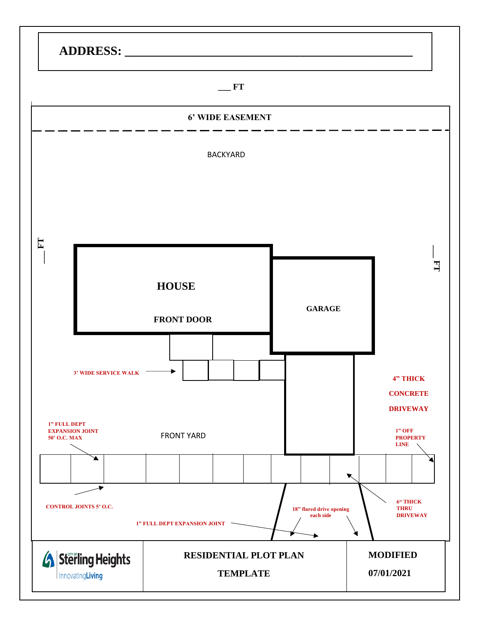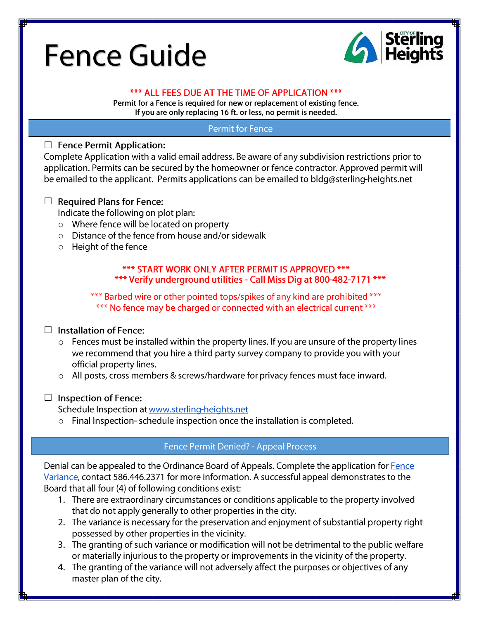## **Fence Guide**



#### \*\*\* ALL FEES DUE AT THE TIME OF APPLICATION \*\*\*

Permit for a Fence is required for new or replacement of existing fence. If you are only replacing 16 ft. or less, no permit is needed.

#### **Permit for Fence**

#### $\Box$  Fence Permit Application:

Complete Application with a valid email address. Be aware of any subdivision restrictions prior to application. Permits can be secured by the homeowner or fence contractor. Approved permit will be emailed to the applicant. Permits applications can be emailed to bidg@sterling-heights.net

#### $\Box$  Required Plans for Fence:

Indicate the following on plot plan:

- o Where fence will be located on property
- Distance of the fence from house and/or sidewalk
- $\circ$  Height of the fence

#### \*\*\* START WORK ONLY AFTER PERMIT IS APPROVED \*\*\* \*\*\* Verify underground utilities - Call Miss Dig at 800-482-7171 \*\*\*

\*\*\* Barbed wire or other pointed tops/spikes of any kind are prohibited \*\*\* \*\*\* No fence may be charged or connected with an electrical current \*\*\*

#### $\Box$  Installation of Fence:

- $\circ$  Fences must be installed within the property lines. If you are unsure of the property lines we recommend that you hire a third party survey company to provide you with your official property lines.
- o All posts, cross members & screws/hardware for privacy fences must face inward.

#### $\Box$  Inspection of Fence:

Schedule Inspection at www.sterling-heights.net

 $\circ$  Final Inspection-schedule inspection once the installation is completed.

#### Fence Permit Denied? - Appeal Process

Denial can be appealed to the Ordinance Board of Appeals. Complete the application for **Fence** Variance, contact 586.446.2371 for more information. A successful appeal demonstrates to the Board that all four (4) of following conditions exist:

- 1. There are extraordinary circumstances or conditions applicable to the property involved that do not apply generally to other properties in the city.
- 2. The variance is necessary for the preservation and enjoyment of substantial property right possessed by other properties in the vicinity.
- 3. The granting of such variance or modification will not be detrimental to the public welfare or materially injurious to the property or improvements in the vicinity of the property.
- 4. The granting of the variance will not adversely affect the purposes or objectives of any master plan of the city.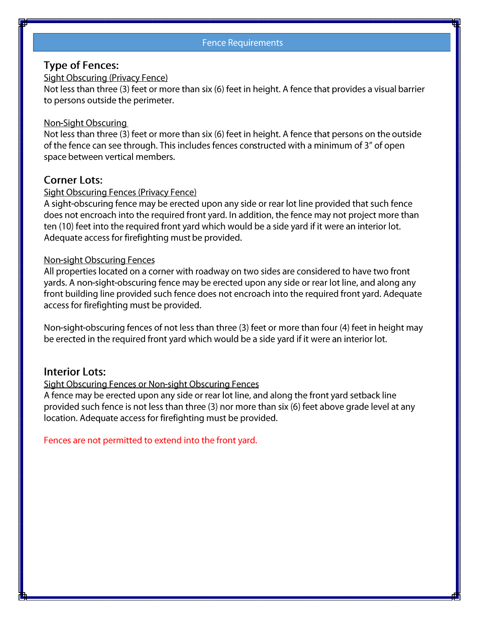#### **Fence Requirements**

#### **Type of Fences:**

#### **Sight Obscuring (Privacy Fence)**

Not less than three (3) feet or more than six (6) feet in height. A fence that provides a visual barrier to persons outside the perimeter.

#### Non-Sight Obscuring

Not less than three (3) feet or more than six (6) feet in height. A fence that persons on the outside of the fence can see through. This includes fences constructed with a minimum of 3" of open space between vertical members.

#### **Corner Lots:**

#### **Sight Obscuring Fences (Privacy Fence)**

A sight-obscuring fence may be erected upon any side or rear lot line provided that such fence does not encroach into the required front yard. In addition, the fence may not project more than ten (10) feet into the required front yard which would be a side yard if it were an interior lot. Adequate access for firefighting must be provided.

#### **Non-sight Obscuring Fences**

All properties located on a corner with roadway on two sides are considered to have two front yards. A non-sight-obscuring fence may be erected upon any side or rear lot line, and along any front building line provided such fence does not encroach into the required front yard. Adequate access for firefighting must be provided.

Non-sight-obscuring fences of not less than three (3) feet or more than four (4) feet in height may be erected in the required front yard which would be a side yard if it were an interior lot.

#### **Interior Lots:**

#### Sight Obscuring Fences or Non-sight Obscuring Fences

A fence may be erected upon any side or rear lot line, and along the front yard setback line provided such fence is not less than three (3) nor more than six (6) feet above grade level at any location. Adequate access for firefighting must be provided.

Fences are not permitted to extend into the front yard.